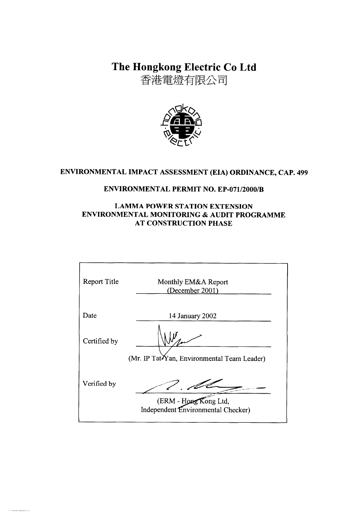The Hongkong Electric Co Ltd

香港電燈有限公司



# ENVIRONMENTAL IMPACT ASSESSMENT (EIA) ORDINANCE, CAP. 499

## **ENVIRONMENTAL PERMIT NO. EP-071/2000/B**

## **LAMMA POWER STATION EXTENSION** ENVIRONMENTAL MONITORING & AUDIT PROGRAMME **AT CONSTRUCTION PHASE**

| <b>Report Title</b> | Monthly EM&A Report<br>(December 2001)                      |
|---------------------|-------------------------------------------------------------|
| Date                | 14 January 2002                                             |
| Certified by        | (Mr. IP TatYan, Environmental Team Leader)                  |
| Verified by         | (ERM - Hong Kong Ltd,<br>Independent Environmental Checker) |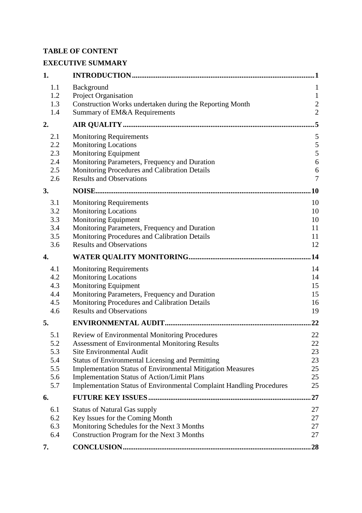# **TABLE OF CONTENT**

# **EXECUTIVE SUMMARY**

| 1.  |                                                                             | 1              |
|-----|-----------------------------------------------------------------------------|----------------|
| 1.1 | Background                                                                  | $\mathbf{1}$   |
| 1.2 | Project Organisation                                                        | $\mathbf{1}$   |
| 1.3 | Construction Works undertaken during the Reporting Month                    | $\overline{c}$ |
| 1.4 | Summary of EM&A Requirements                                                | $\overline{2}$ |
| 2.  |                                                                             | .5             |
| 2.1 | <b>Monitoring Requirements</b>                                              | 5              |
| 2.2 | <b>Monitoring Locations</b>                                                 | $\sqrt{5}$     |
| 2.3 | Monitoring Equipment                                                        | 5              |
| 2.4 | Monitoring Parameters, Frequency and Duration                               | 6              |
| 2.5 | Monitoring Procedures and Calibration Details                               | 6              |
| 2.6 | <b>Results and Observations</b>                                             | $\overline{7}$ |
| 3.  |                                                                             | 10             |
| 3.1 | <b>Monitoring Requirements</b>                                              | 10             |
| 3.2 | <b>Monitoring Locations</b>                                                 | 10             |
| 3.3 | Monitoring Equipment                                                        | 10             |
| 3.4 | Monitoring Parameters, Frequency and Duration                               | 11             |
| 3.5 | Monitoring Procedures and Calibration Details                               | 11             |
| 3.6 | <b>Results and Observations</b>                                             | 12             |
| 4.  |                                                                             | .14            |
| 4.1 | <b>Monitoring Requirements</b>                                              | 14             |
| 4.2 | <b>Monitoring Locations</b>                                                 | 14             |
| 4.3 | <b>Monitoring Equipment</b>                                                 | 15             |
| 4.4 | Monitoring Parameters, Frequency and Duration                               | 15             |
| 4.5 | Monitoring Procedures and Calibration Details                               | 16             |
| 4.6 | <b>Results and Observations</b>                                             | 19             |
| 5.  |                                                                             | 22             |
| 5.1 | Review of Environmental Monitoring Procedures                               | 22             |
| 5.2 | <b>Assessment of Environmental Monitoring Results</b>                       | 22             |
| 5.3 | <b>Site Environmental Audit</b>                                             | 23             |
| 5.4 | <b>Status of Environmental Licensing and Permitting</b>                     | 23             |
| 5.5 | <b>Implementation Status of Environmental Mitigation Measures</b>           | 25             |
| 5.6 | <b>Implementation Status of Action/Limit Plans</b>                          | 25             |
| 5.7 | <b>Implementation Status of Environmental Complaint Handling Procedures</b> | 25             |
| 6.  |                                                                             | 27             |
| 6.1 | <b>Status of Natural Gas supply</b>                                         | 27             |
| 6.2 | Key Issues for the Coming Month                                             | 27             |
| 6.3 | Monitoring Schedules for the Next 3 Months                                  | 27             |
| 6.4 | Construction Program for the Next 3 Months                                  | 27             |
| 7.  |                                                                             | 28             |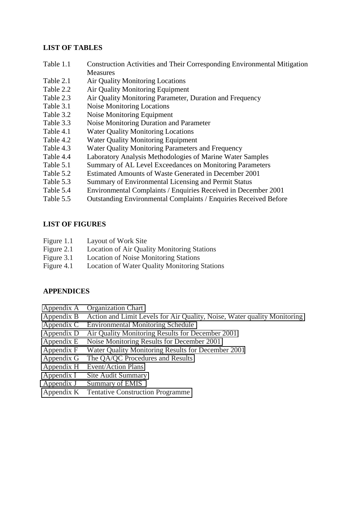#### **LIST OF TABLES**

- Table 1.1 Construction Activities and Their Corresponding Environmental Mitigation **Measures**
- Table 2.1 Air Quality Monitoring Locations
- Table 2.2 Air Quality Monitoring Equipment
- Table 2.3 Air Quality Monitoring Parameter, Duration and Frequency
- Table 3.1 Noise Monitoring Locations
- Table 3.2 Noise Monitoring Equipment
- Table 3.3 Noise Monitoring Duration and Parameter
- Table 4.1 Water Quality Monitoring Locations
- Table 4.2 Water Quality Monitoring Equipment
- Table 4.3 Water Quality Monitoring Parameters and Frequency
- Table 4.4 Laboratory Analysis Methodologies of Marine Water Samples
- Table 5.1 Summary of AL Level Exceedances on Monitoring Parameters
- Table 5.2 Estimated Amounts of Waste Generated in December 2001
- Table 5.3 Summary of Environmental Licensing and Permit Status
- Table 5.4 Environmental Complaints / Enquiries Received in December 2001
- Table 5.5 Outstanding Environmental Complaints / Enquiries Received Before

#### **LIST OF FIGURES**

- Figure 1.1 Layout of Work Site
- Figure 2.1 Location of Air Quality Monitoring Stations
- Figure 3.1 Location of Noise Monitoring Stations
- Figure 4.1 Location of Water Quality Monitoring Stations

## **APPENDICES**

- Appendix A Organization Chart
- Appendix B Action and Limit Levels for Air Quality, Noise, Water quality Monitoring
- Appendix C Environmental Monitoring Schedule
- Appendix D Air Quality Monitoring Results for December 2001
- Appendix E Noise Monitoring Results for December 2001
- Appendix F Water Quality Monitoring Results for December 2001
- Appendix G The QA/QC Procedures and Results
- Appendix H Event/Action Plans
- Appendix I Site Audit Summary
- Appendix J Summary of EMIS
- Appendix K Tentative Construction Programme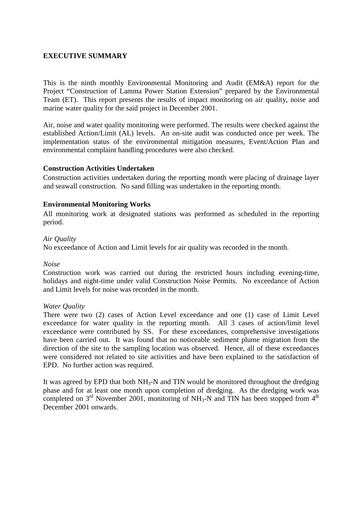#### **EXECUTIVE SUMMARY**

This is the ninth monthly Environmental Monitoring and Audit (EM&A) report for the Project "Construction of Lamma Power Station Extension" prepared by the Environmental Team (ET). This report presents the results of impact monitoring on air quality, noise and marine water quality for the said project in December 2001.

Air, noise and water quality monitoring were performed. The results were checked against the established Action/Limit (AL) levels. An on-site audit was conducted once per week. The implementation status of the environmental mitigation measures, Event/Action Plan and environmental complaint handling procedures were also checked.

#### **Construction Activities Undertaken**

Construction activities undertaken during the reporting month were placing of drainage layer and seawall construction. No sand filling was undertaken in the reporting month.

#### **Environmental Monitoring Works**

All monitoring work at designated stations was performed as scheduled in the reporting period.

#### *Air Quality*

No exceedance of Action and Limit levels for air quality was recorded in the month.

#### *Noise*

Construction work was carried out during the restricted hours including evening-time, holidays and night-time under valid Construction Noise Permits. No exceedance of Action and Limit levels for noise was recorded in the month.

#### *Water Quality*

There were two (2) cases of Action Level exceedance and one (1) case of Limit Level exceedance for water quality in the reporting month. All 3 cases of action/limit level exceedance were contributed by SS. For these exceedances, comprehensive investigations have been carried out. It was found that no noticeable sediment plume migration from the direction of the site to the sampling location was observed. Hence, all of these exceedances were considered not related to site activities and have been explained to the satisfaction of EPD. No further action was required.

It was agreed by EPD that both  $NH_3-N$  and TIN would be monitored throughout the dredging phase and for at least one month upon completion of dredging. As the dredging work was completed on  $3<sup>rd</sup>$  November 2001, monitoring of NH<sub>3</sub>-N and TIN has been stopped from  $4<sup>th</sup>$ December 2001 onwards.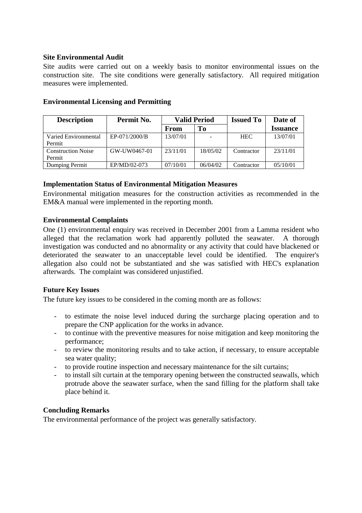#### **Site Environmental Audit**

Site audits were carried out on a weekly basis to monitor environmental issues on the construction site. The site conditions were generally satisfactory. All required mitigation measures were implemented.

| <b>Description</b>                  | Permit No.    | <b>Valid Period</b> |          | <b>Issued To</b> | Date of         |
|-------------------------------------|---------------|---------------------|----------|------------------|-----------------|
|                                     |               | From                | To       |                  | <b>Issuance</b> |
| Varied Environmental<br>Permit      | EP-071/2000/B | 13/07/01            |          | <b>HEC</b>       | 13/07/01        |
| <b>Construction Noise</b><br>Permit | GW-UW0467-01  | 23/11/01            | 18/05/02 | Contractor       | 23/11/01        |
| Dumping Permit                      | EP/MD/02-073  | 07/10/01            | 06/04/02 | Contractor       | 05/10/01        |

#### **Environmental Licensing and Permitting**

#### **Implementation Status of Environmental Mitigation Measures**

Environmental mitigation measures for the construction activities as recommended in the EM&A manual were implemented in the reporting month.

#### **Environmental Complaints**

One (1) environmental enquiry was received in December 2001 from a Lamma resident who alleged that the reclamation work had apparently polluted the seawater. A thorough investigation was conducted and no abnormality or any activity that could have blackened or deteriorated the seawater to an unacceptable level could be identified. The enquirer's allegation also could not be substantiated and she was satisfied with HEC's explanation afterwards. The complaint was considered unjustified.

## **Future Key Issues**

The future key issues to be considered in the coming month are as follows:

- to estimate the noise level induced during the surcharge placing operation and to prepare the CNP application for the works in advance.
- to continue with the preventive measures for noise mitigation and keep monitoring the performance;
- to review the monitoring results and to take action, if necessary, to ensure acceptable sea water quality;
- to provide routine inspection and necessary maintenance for the silt curtains;
- to install silt curtain at the temporary opening between the constructed seawalls, which protrude above the seawater surface, when the sand filling for the platform shall take place behind it.

#### **Concluding Remarks**

The environmental performance of the project was generally satisfactory.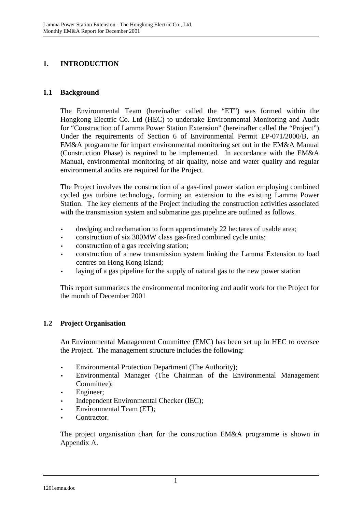# **1. INTRODUCTION**

## **1.1 Background**

The Environmental Team (hereinafter called the "ET") was formed within the Hongkong Electric Co. Ltd (HEC) to undertake Environmental Monitoring and Audit for "Construction of Lamma Power Station Extension" (hereinafter called the "Project"). Under the requirements of Section 6 of Environmental Permit EP-071/2000/B, an EM&A programme for impact environmental monitoring set out in the EM&A Manual (Construction Phase) is required to be implemented. In accordance with the EM&A Manual, environmental monitoring of air quality, noise and water quality and regular environmental audits are required for the Project.

The Project involves the construction of a gas-fired power station employing combined cycled gas turbine technology, forming an extension to the existing Lamma Power Station. The key elements of the Project including the construction activities associated with the transmission system and submarine gas pipeline are outlined as follows.

- dredging and reclamation to form approximately 22 hectares of usable area;
- construction of six 300MW class gas-fired combined cycle units;
- construction of a gas receiving station;
- construction of a new transmission system linking the Lamma Extension to load centres on Hong Kong Island;
- laying of a gas pipeline for the supply of natural gas to the new power station

This report summarizes the environmental monitoring and audit work for the Project for the month of December 2001

## **1.2 Project Organisation**

An Environmental Management Committee (EMC) has been set up in HEC to oversee the Project. The management structure includes the following:

- Environmental Protection Department (The Authority);
- Environmental Manager (The Chairman of the Environmental Management Committee);
- Engineer;
- Independent Environmental Checker (IEC);
- Environmental Team (ET);
- Contractor.

The project organisation chart for the construction EM&A programme is shown in Appendix A.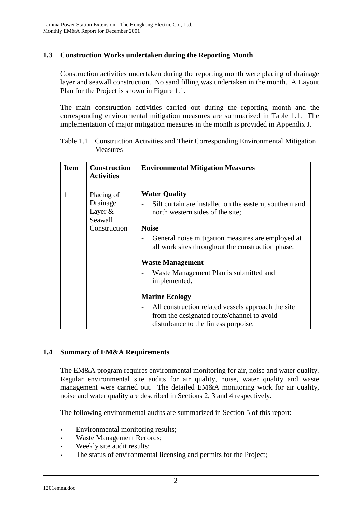# **1.3 Construction Works undertaken during the Reporting Month**

Construction activities undertaken during the reporting month were placing of drainage layer and seawall construction. No sand filling was undertaken in the month. A Layout Plan for the Project is shown in Figure 1.1.

The main construction activities carried out during the reporting month and the corresponding environmental mitigation measures are summarized in Table 1.1. The implementation of major mitigation measures in the month is provided in Appendix J.

| Table 1.1 Construction Activities and Their Corresponding Environmental Mitigation |
|------------------------------------------------------------------------------------|
| Measures                                                                           |

| <b>Item</b> | <b>Construction</b><br><b>Activities</b>                       | <b>Environmental Mitigation Measures</b>                                                                                                                                                                                                                                                                                           |
|-------------|----------------------------------------------------------------|------------------------------------------------------------------------------------------------------------------------------------------------------------------------------------------------------------------------------------------------------------------------------------------------------------------------------------|
|             | Placing of<br>Drainage<br>Layer $&$<br>Seawall<br>Construction | <b>Water Quality</b><br>Silt curtain are installed on the eastern, southern and<br>north western sides of the site;<br><b>Noise</b><br>General noise mitigation measures are employed at<br>all work sites throughout the construction phase.<br><b>Waste Management</b><br>Waste Management Plan is submitted and<br>implemented. |
|             |                                                                | <b>Marine Ecology</b><br>All construction related vessels approach the site<br>from the designated route/channel to avoid<br>disturbance to the finless porpoise.                                                                                                                                                                  |

## **1.4 Summary of EM&A Requirements**

The EM&A program requires environmental monitoring for air, noise and water quality. Regular environmental site audits for air quality, noise, water quality and waste management were carried out. The detailed EM&A monitoring work for air quality, noise and water quality are described in Sections 2, 3 and 4 respectively.

The following environmental audits are summarized in Section 5 of this report:

- Environmental monitoring results;
- Waste Management Records;
- Weekly site audit results;
- The status of environmental licensing and permits for the Project;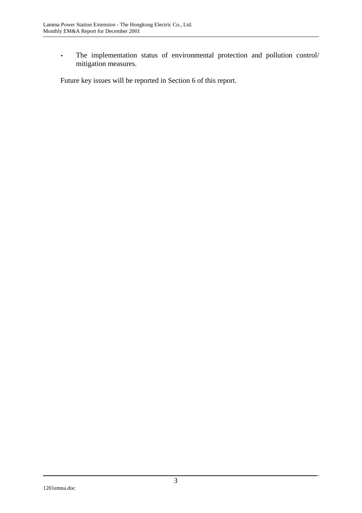• The implementation status of environmental protection and pollution control/ mitigation measures.

Future key issues will be reported in Section 6 of this report.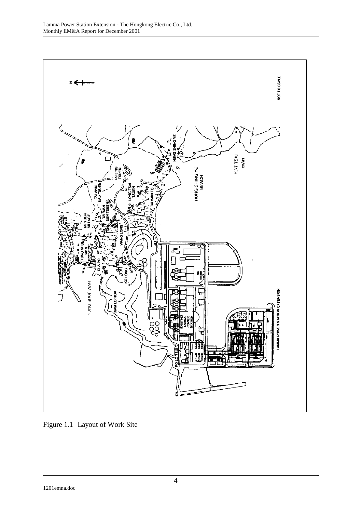

Figure 1.1 Layout of Work Site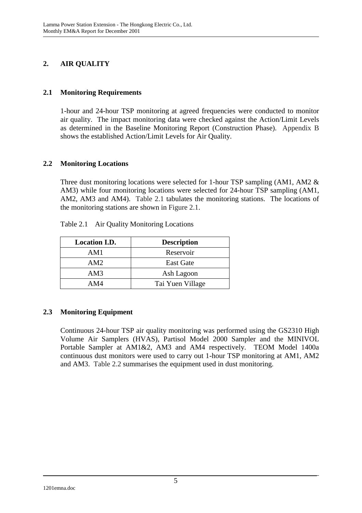# **2. AIR QUALITY**

## **2.1 Monitoring Requirements**

1-hour and 24-hour TSP monitoring at agreed frequencies were conducted to monitor air quality. The impact monitoring data were checked against the Action/Limit Levels as determined in the Baseline Monitoring Report (Construction Phase). Appendix B shows the established Action/Limit Levels for Air Quality.

## **2.2 Monitoring Locations**

Three dust monitoring locations were selected for 1-hour TSP sampling (AM1, AM2 & AM3) while four monitoring locations were selected for 24-hour TSP sampling (AM1, AM2, AM3 and AM4). Table 2.1 tabulates the monitoring stations. The locations of the monitoring stations are shown in Figure 2.1.

| <b>Location I.D.</b> | <b>Description</b> |
|----------------------|--------------------|
| AM1                  | Reservoir          |
| AM2                  | <b>East Gate</b>   |
| AM3                  | Ash Lagoon         |
| AM4                  | Tai Yuen Village   |

Table 2.1 Air Quality Monitoring Locations

# **2.3 Monitoring Equipment**

Continuous 24-hour TSP air quality monitoring was performed using the GS2310 High Volume Air Samplers (HVAS), Partisol Model 2000 Sampler and the MINIVOL Portable Sampler at AM1&2, AM3 and AM4 respectively. TEOM Model 1400a continuous dust monitors were used to carry out 1-hour TSP monitoring at AM1, AM2 and AM3. Table 2.2 summarises the equipment used in dust monitoring.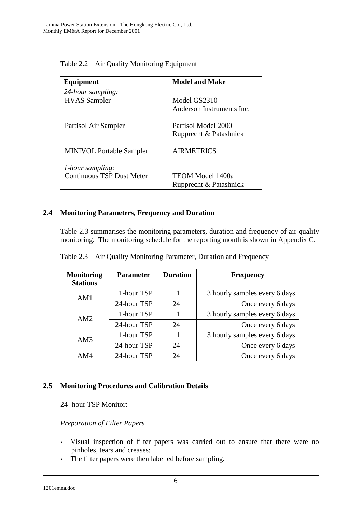| Equipment                        | <b>Model and Make</b>     |
|----------------------------------|---------------------------|
| 24-hour sampling:                |                           |
| <b>HVAS</b> Sampler              | Model GS2310              |
|                                  | Anderson Instruments Inc. |
| Partisol Air Sampler             | Partisol Model 2000       |
|                                  | Rupprecht & Patashnick    |
| <b>MINIVOL Portable Sampler</b>  | <b>AIRMETRICS</b>         |
| <i>l</i> -hour sampling:         |                           |
| <b>Continuous TSP Dust Meter</b> | TEOM Model 1400a          |
|                                  | Rupprecht & Patashnick    |

Table 2.2 Air Quality Monitoring Equipment

# **2.4 Monitoring Parameters, Frequency and Duration**

Table 2.3 summarises the monitoring parameters, duration and frequency of air quality monitoring. The monitoring schedule for the reporting month is shown in Appendix C.

| <b>Monitoring</b><br><b>Stations</b> | <b>Parameter</b> | <b>Duration</b> | <b>Frequency</b>              |
|--------------------------------------|------------------|-----------------|-------------------------------|
| AM1                                  | 1-hour TSP       |                 | 3 hourly samples every 6 days |
|                                      | 24-hour TSP      | 24              | Once every 6 days             |
| AM2                                  | 1-hour TSP       |                 | 3 hourly samples every 6 days |
|                                      | 24-hour TSP      | 24              | Once every 6 days             |
| AM3                                  | 1-hour TSP       |                 | 3 hourly samples every 6 days |
|                                      | 24-hour TSP      | 24              | Once every 6 days             |
| AM4                                  | 24-hour TSP      | 24              | Once every 6 days             |

Table 2.3 Air Quality Monitoring Parameter, Duration and Frequency

# **2.5 Monitoring Procedures and Calibration Details**

24- hour TSP Monitor:

## *Preparation of Filter Papers*

- Visual inspection of filter papers was carried out to ensure that there were no pinholes, tears and creases;
- The filter papers were then labelled before sampling.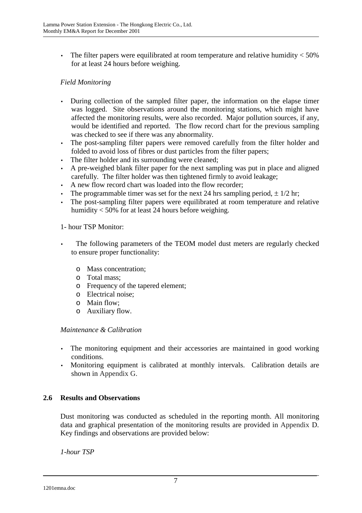• The filter papers were equilibrated at room temperature and relative humidity  $<$  50% for at least 24 hours before weighing.

# *Field Monitoring*

- During collection of the sampled filter paper, the information on the elapse timer was logged. Site observations around the monitoring stations, which might have affected the monitoring results, were also recorded. Major pollution sources, if any, would be identified and reported. The flow record chart for the previous sampling was checked to see if there was any abnormality.
- The post-sampling filter papers were removed carefully from the filter holder and folded to avoid loss of fibres or dust particles from the filter papers;
- The filter holder and its surrounding were cleaned;
- A pre-weighed blank filter paper for the next sampling was put in place and aligned carefully. The filter holder was then tightened firmly to avoid leakage;
- A new flow record chart was loaded into the flow recorder;
- The programmable timer was set for the next 24 hrs sampling period,  $\pm$  1/2 hr;
- The post-sampling filter papers were equilibrated at room temperature and relative humidity < 50% for at least 24 hours before weighing.

## 1- hour TSP Monitor:

- The following parameters of the TEOM model dust meters are regularly checked to ensure proper functionality:
	- o Mass concentration;
	- o Total mass;
	- o Frequency of the tapered element;
	- o Electrical noise;
	- o Main flow;
	- o Auxiliary flow.

## *Maintenance & Calibration*

- The monitoring equipment and their accessories are maintained in good working conditions.
- Monitoring equipment is calibrated at monthly intervals. Calibration details are shown in Appendix G.

## **2.6 Results and Observations**

Dust monitoring was conducted as scheduled in the reporting month. All monitoring data and graphical presentation of the monitoring results are provided in Appendix D. Key findings and observations are provided below:

*1-hour TSP*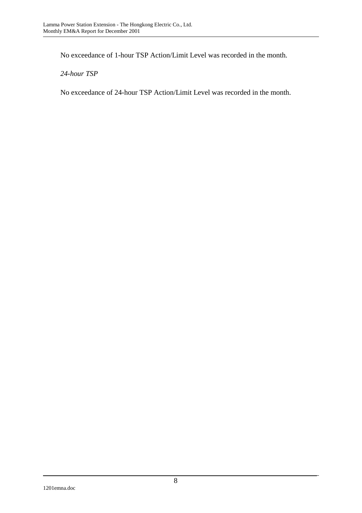No exceedance of 1-hour TSP Action/Limit Level was recorded in the month.

*24-hour TSP* 

No exceedance of 24-hour TSP Action/Limit Level was recorded in the month.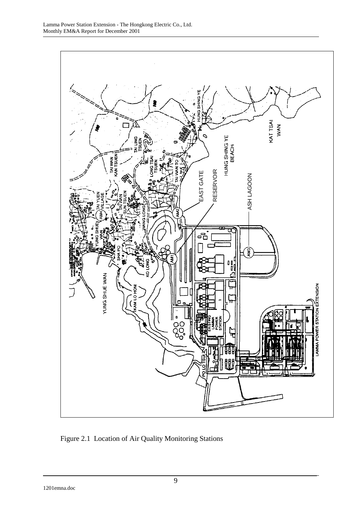

Figure 2.1 Location of Air Quality Monitoring Stations

1201emna.doc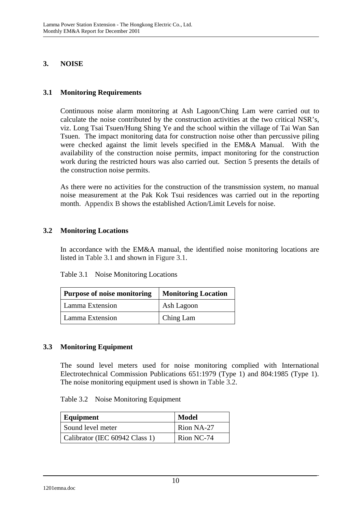# **3. NOISE**

# **3.1 Monitoring Requirements**

Continuous noise alarm monitoring at Ash Lagoon/Ching Lam were carried out to calculate the noise contributed by the construction activities at the two critical NSR's, viz. Long Tsai Tsuen/Hung Shing Ye and the school within the village of Tai Wan San Tsuen. The impact monitoring data for construction noise other than percussive piling were checked against the limit levels specified in the EM&A Manual. With the availability of the construction noise permits, impact monitoring for the construction work during the restricted hours was also carried out. Section 5 presents the details of the construction noise permits.

As there were no activities for the construction of the transmission system, no manual noise measurement at the Pak Kok Tsui residences was carried out in the reporting month. Appendix B shows the established Action/Limit Levels for noise.

## **3.2 Monitoring Locations**

In accordance with the EM&A manual, the identified noise monitoring locations are listed in Table 3.1 and shown in Figure 3.1.

| <b>Purpose of noise monitoring</b> | <b>Monitoring Location</b> |
|------------------------------------|----------------------------|
| Lamma Extension                    | Ash Lagoon                 |
| Lamma Extension                    | Ching Lam                  |

## **3.3 Monitoring Equipment**

The sound level meters used for noise monitoring complied with International Electrotechnical Commission Publications 651:1979 (Type 1) and 804:1985 (Type 1). The noise monitoring equipment used is shown in Table 3.2.

| Equipment                      | <b>Model</b> |
|--------------------------------|--------------|
| Sound level meter              | Rion NA-27   |
| Calibrator (IEC 60942 Class 1) | Rion NC-74   |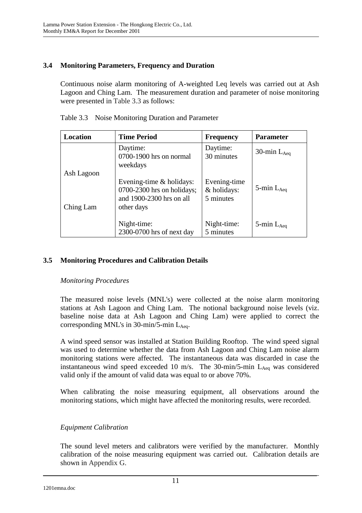# **3.4 Monitoring Parameters, Frequency and Duration**

Continuous noise alarm monitoring of A-weighted Leq levels was carried out at Ash Lagoon and Ching Lam. The measurement duration and parameter of noise monitoring were presented in Table 3.3 as follows:

| Location   | <b>Time Period</b>                                                                                   | <b>Frequency</b>                         | <b>Parameter</b>   |
|------------|------------------------------------------------------------------------------------------------------|------------------------------------------|--------------------|
|            | Daytime:<br>0700-1900 hrs on normal<br>weekdays                                                      | Daytime:<br>30 minutes                   | 30-min $L_{Aeq}$   |
| Ash Lagoon |                                                                                                      |                                          |                    |
| Ching Lam  | Evening-time $&$ holidays:<br>$0700-2300$ hrs on holidays;<br>and 1900-2300 hrs on all<br>other days | Evening-time<br>& holidays:<br>5 minutes | 5-min $L_{Aeq}$    |
|            | Night-time:<br>2300-0700 hrs of next day                                                             | Night-time:<br>5 minutes                 | $5$ -min $L_{Aea}$ |

Table 3.3 Noise Monitoring Duration and Parameter

# **3.5 Monitoring Procedures and Calibration Details**

## *Monitoring Procedures*

The measured noise levels (MNL's) were collected at the noise alarm monitoring stations at Ash Lagoon and Ching Lam. The notional background noise levels (viz. baseline noise data at Ash Lagoon and Ching Lam) were applied to correct the corresponding MNL's in  $30$ -min/5-min L<sub>Aeq</sub>.

A wind speed sensor was installed at Station Building Rooftop. The wind speed signal was used to determine whether the data from Ash Lagoon and Ching Lam noise alarm monitoring stations were affected. The instantaneous data was discarded in case the instantaneous wind speed exceeded 10 m/s. The 30-min/5-min  $L_{Aeq}$  was considered valid only if the amount of valid data was equal to or above 70%.

When calibrating the noise measuring equipment, all observations around the monitoring stations, which might have affected the monitoring results, were recorded.

## *Equipment Calibration*

The sound level meters and calibrators were verified by the manufacturer. Monthly calibration of the noise measuring equipment was carried out. Calibration details are shown in Appendix G.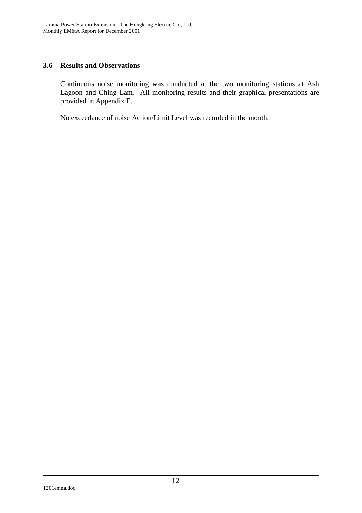## **3.6 Results and Observations**

Continuous noise monitoring was conducted at the two monitoring stations at Ash Lagoon and Ching Lam. All monitoring results and their graphical presentations are provided in Appendix E.

No exceedance of noise Action/Limit Level was recorded in the month.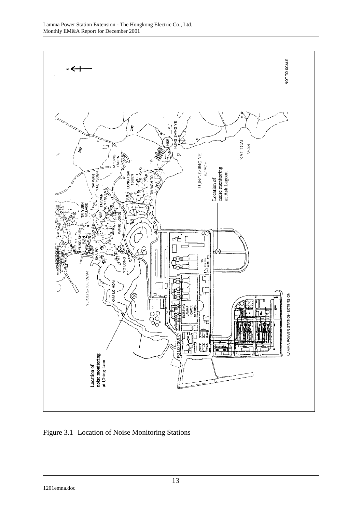

Figure 3.1 Location of Noise Monitoring Stations

1201emna.doc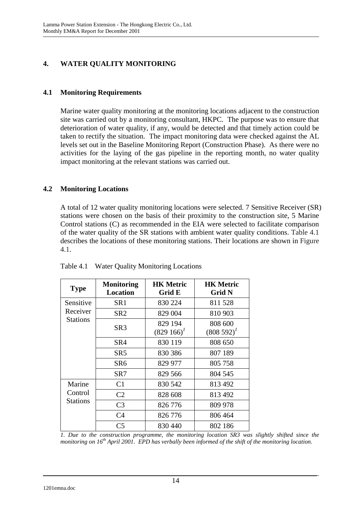# **4. WATER QUALITY MONITORING**

# **4.1 Monitoring Requirements**

Marine water quality monitoring at the monitoring locations adjacent to the construction site was carried out by a monitoring consultant, HKPC. The purpose was to ensure that deterioration of water quality, if any, would be detected and that timely action could be taken to rectify the situation. The impact monitoring data were checked against the AL levels set out in the Baseline Monitoring Report (Construction Phase). As there were no activities for the laying of the gas pipeline in the reporting month, no water quality impact monitoring at the relevant stations was carried out.

# **4.2 Monitoring Locations**

A total of 12 water quality monitoring locations were selected. 7 Sensitive Receiver (SR) stations were chosen on the basis of their proximity to the construction site, 5 Marine Control stations (C) as recommended in the EIA were selected to facilitate comparison of the water quality of the SR stations with ambient water quality conditions. Table 4.1 describes the locations of these monitoring stations. Their locations are shown in Figure 4.1.

| <b>Type</b>     | <b>Monitoring</b><br><b>Location</b> | <b>HK Metric</b><br>Grid E | <b>HK Metric</b><br>Grid N |
|-----------------|--------------------------------------|----------------------------|----------------------------|
| Sensitive       | SR <sub>1</sub>                      | 830 224                    | 811528                     |
| Receiver        | SR <sub>2</sub>                      | 829 004                    | 810 903                    |
| <b>Stations</b> | SR <sub>3</sub>                      | 829 194<br>$(829166)^T$    | 808 600<br>$(808592)^{1}$  |
|                 | SR4                                  | 830 119                    | 808 650                    |
|                 | SR5                                  | 830 386                    | 807 189                    |
|                 | SR <sub>6</sub>                      | 829 977                    | 805 758                    |
|                 | SR7                                  | 829 566                    | 804 545                    |
| Marine          | C <sub>1</sub>                       | 830 542                    | 813 492                    |
| Control         | C <sub>2</sub>                       | 828 608                    | 813 492                    |
| Stations        | C <sub>3</sub>                       | 826 776                    | 809 978                    |
|                 | C4                                   | 826 776                    | 806 464                    |
|                 | C <sub>5</sub>                       | 830 440                    | 802 186                    |

Table 4.1 Water Quality Monitoring Locations

*1. Due to the construction programme, the monitoring location SR3 was slightly shifted since the monitoring on 16th April 2001. EPD has verbally been informed of the shift of the monitoring location.*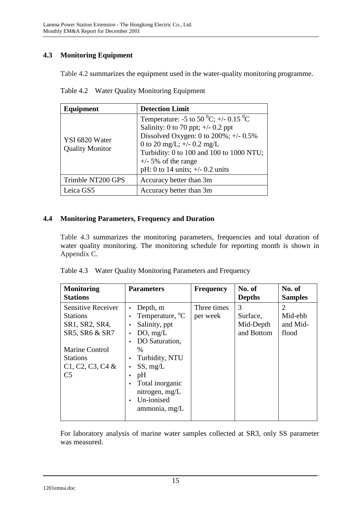# **4.3 Monitoring Equipment**

Table 4.2 summarizes the equipment used in the water-quality monitoring programme.

| Equipment                                | <b>Detection Limit</b>                                                                                                                                                                                                                                                                           |
|------------------------------------------|--------------------------------------------------------------------------------------------------------------------------------------------------------------------------------------------------------------------------------------------------------------------------------------------------|
| YSI 6820 Water<br><b>Quality Monitor</b> | Temperature: -5 to 50 <sup>0</sup> C; +/- 0.15 <sup>0</sup> C<br>Salinity: 0 to 70 ppt; $\pm$ /- 0.2 ppt<br>Dissolved Oxygen: 0 to $200\%$ ; +/- 0.5%<br>0 to 20 mg/L; $+/- 0.2$ mg/L<br>Turbidity: 0 to 100 and 100 to 1000 NTU;<br>$+/-$ 5% of the range<br>pH: 0 to 14 units; $+/- 0.2$ units |
| Trimble NT200 GPS                        | Accuracy better than 3m                                                                                                                                                                                                                                                                          |
| Leica GS5                                | Accuracy better than 3m                                                                                                                                                                                                                                                                          |

Table 4.2 Water Quality Monitoring Equipment

# **4.4 Monitoring Parameters, Frequency and Duration**

Table 4.3 summarizes the monitoring parameters, frequencies and total duration of water quality monitoring. The monitoring schedule for reporting month is shown in Appendix C.

|  |  |  | Table 4.3 Water Quality Monitoring Parameters and Frequency |  |
|--|--|--|-------------------------------------------------------------|--|
|--|--|--|-------------------------------------------------------------|--|

| <b>Monitoring</b><br><b>Stations</b>                           | <b>Parameters</b>                                        | <b>Frequency</b>        | No. of<br><b>Depths</b>    | No. of<br><b>Samples</b>              |
|----------------------------------------------------------------|----------------------------------------------------------|-------------------------|----------------------------|---------------------------------------|
| <b>Sensitive Receiver</b><br><b>Stations</b><br>SR1, SR2, SR4, | Depth, m<br>Temperature, <sup>o</sup> C<br>Salinity, ppt | Three times<br>per week | 3<br>Surface,<br>Mid-Depth | $\overline{2}$<br>Mid-ebb<br>and Mid- |
| SR5, SR6 & SR7                                                 | DO, mg/L<br>DO Saturation,                               |                         | and Bottom                 | flood                                 |
| <b>Marine Control</b><br><b>Stations</b><br>$C1, C2, C3, C4$ & | $\%$<br>Turbidity, NTU<br>SS, mg/L                       |                         |                            |                                       |
| C <sub>5</sub>                                                 | pH<br>Total inorganic                                    |                         |                            |                                       |
|                                                                | nitrogen, mg/L<br>Un-ionised<br>ammonia, mg/L            |                         |                            |                                       |

For laboratory analysis of marine water samples collected at SR3, only SS parameter was measured.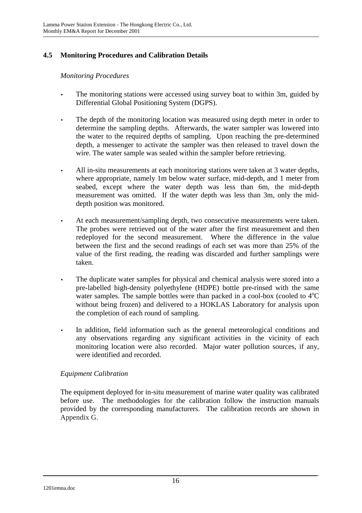# **4.5 Monitoring Procedures and Calibration Details**

*Monitoring Procedures* 

- The monitoring stations were accessed using survey boat to within 3m, guided by Differential Global Positioning System (DGPS).
- The depth of the monitoring location was measured using depth meter in order to determine the sampling depths. Afterwards, the water sampler was lowered into the water to the required depths of sampling. Upon reaching the pre-determined depth, a messenger to activate the sampler was then released to travel down the wire. The water sample was sealed within the sampler before retrieving.
- All in-situ measurements at each monitoring stations were taken at 3 water depths, where appropriate, namely 1m below water surface, mid-depth, and 1 meter from seabed, except where the water depth was less than 6m, the mid-depth measurement was omitted. If the water depth was less than 3m, only the middepth position was monitored.
- At each measurement/sampling depth, two consecutive measurements were taken. The probes were retrieved out of the water after the first measurement and then redeployed for the second measurement. Where the difference in the value between the first and the second readings of each set was more than 25% of the value of the first reading, the reading was discarded and further samplings were taken.
- The duplicate water samples for physical and chemical analysis were stored into a pre-labelled high-density polyethylene (HDPE) bottle pre-rinsed with the same water samples. The sample bottles were than packed in a cool-box (cooled to  $4^{\circ}C$ without being frozen) and delivered to a HOKLAS Laboratory for analysis upon the completion of each round of sampling.
- In addition, field information such as the general meteorological conditions and any observations regarding any significant activities in the vicinity of each monitoring location were also recorded. Major water pollution sources, if any, were identified and recorded.

# *Equipment Calibration*

The equipment deployed for in-situ measurement of marine water quality was calibrated before use. The methodologies for the calibration follow the instruction manuals provided by the corresponding manufacturers. The calibration records are shown in Appendix G.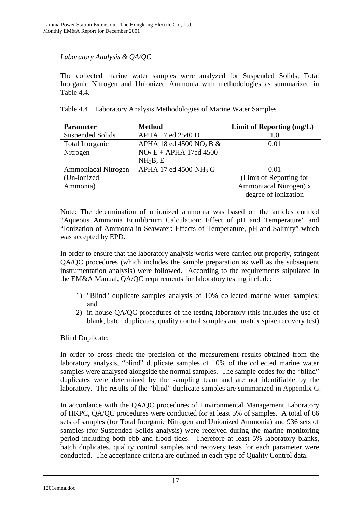# *Laboratory Analysis & QA/QC*

The collected marine water samples were analyzed for Suspended Solids, Total Inorganic Nitrogen and Unionized Ammonia with methodologies as summarized in Table 4.4.

| <b>Parameter</b>           | <b>Method</b>                          | Limit of Reporting (mg/L) |
|----------------------------|----------------------------------------|---------------------------|
| <b>Suspended Solids</b>    | APHA 17 ed 2540 D                      | 1.0                       |
| Total Inorganic            | APHA 18 ed 4500 NO <sub>2</sub> B $\&$ | 0.01                      |
| Nitrogen                   | $NO3E + APHA$ 17ed 4500-               |                           |
|                            | NH <sub>3</sub> B, E                   |                           |
| <b>Ammoniacal Nitrogen</b> | APHA 17 ed 4500-NH <sub>3</sub> G      | 0.01                      |
| (Un-ionized                |                                        | (Limit of Reporting for   |
| Ammonia)                   |                                        | Ammoniacal Nitrogen) x    |
|                            |                                        | degree of ionization      |

Note: The determination of unionized ammonia was based on the articles entitled "Aqueous Ammonia Equilibrium Calculation: Effect of pH and Temperature" and "Ionization of Ammonia in Seawater: Effects of Temperature, pH and Salinity" which was accepted by EPD.

In order to ensure that the laboratory analysis works were carried out properly, stringent QA/QC procedures (which includes the sample preparation as well as the subsequent instrumentation analysis) were followed. According to the requirements stipulated in the EM&A Manual, QA/QC requirements for laboratory testing include:

- 1) "Blind" duplicate samples analysis of 10% collected marine water samples; and
- 2) in-house QA/QC procedures of the testing laboratory (this includes the use of blank, batch duplicates, quality control samples and matrix spike recovery test).

Blind Duplicate:

In order to cross check the precision of the measurement results obtained from the laboratory analysis, "blind" duplicate samples of 10% of the collected marine water samples were analysed alongside the normal samples. The sample codes for the "blind" duplicates were determined by the sampling team and are not identifiable by the laboratory. The results of the "blind" duplicate samples are summarized in Appendix G.

In accordance with the QA/QC procedures of Environmental Management Laboratory of HKPC, QA/QC procedures were conducted for at least 5% of samples. A total of 66 sets of samples (for Total Inorganic Nitrogen and Unionized Ammonia) and 936 sets of samples (for Suspended Solids analysis) were received during the marine monitoring period including both ebb and flood tides. Therefore at least 5% laboratory blanks, batch duplicates, quality control samples and recovery tests for each parameter were conducted. The acceptance criteria are outlined in each type of Quality Control data.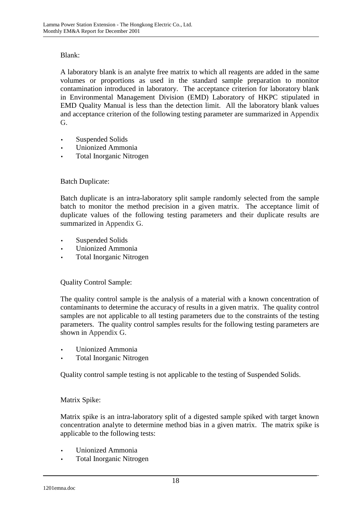# Blank:

A laboratory blank is an analyte free matrix to which all reagents are added in the same volumes or proportions as used in the standard sample preparation to monitor contamination introduced in laboratory. The acceptance criterion for laboratory blank in Environmental Management Division (EMD) Laboratory of HKPC stipulated in EMD Quality Manual is less than the detection limit. All the laboratory blank values and acceptance criterion of the following testing parameter are summarized in Appendix G.

- Suspended Solids
- Unionized Ammonia
- Total Inorganic Nitrogen

# Batch Duplicate:

Batch duplicate is an intra-laboratory split sample randomly selected from the sample batch to monitor the method precision in a given matrix. The acceptance limit of duplicate values of the following testing parameters and their duplicate results are summarized in Appendix G.

- Suspended Solids
- Unionized Ammonia
- Total Inorganic Nitrogen

## Quality Control Sample:

The quality control sample is the analysis of a material with a known concentration of contaminants to determine the accuracy of results in a given matrix. The quality control samples are not applicable to all testing parameters due to the constraints of the testing parameters. The quality control samples results for the following testing parameters are shown in Appendix G.

- Unionized Ammonia
- Total Inorganic Nitrogen

Quality control sample testing is not applicable to the testing of Suspended Solids.

## Matrix Spike:

Matrix spike is an intra-laboratory split of a digested sample spiked with target known concentration analyte to determine method bias in a given matrix. The matrix spike is applicable to the following tests:

- Unionized Ammonia
- Total Inorganic Nitrogen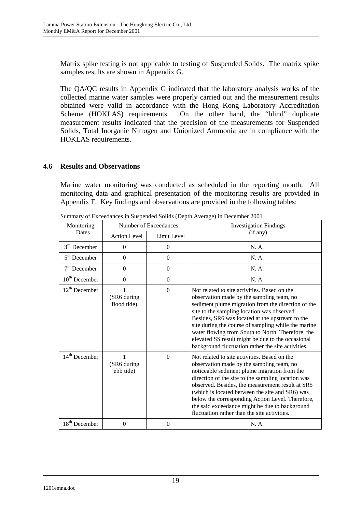Matrix spike testing is not applicable to testing of Suspended Solids. The matrix spike samples results are shown in Appendix G.

The QA/QC results in Appendix G indicated that the laboratory analysis works of the collected marine water samples were properly carried out and the measurement results obtained were valid in accordance with the Hong Kong Laboratory Accreditation Scheme (HOKLAS) requirements. On the other hand, the "blind" duplicate measurement results indicated that the precision of the measurements for Suspended Solids, Total Inorganic Nitrogen and Unionized Ammonia are in compliance with the HOKLAS requirements.

# **4.6 Results and Observations**

Marine water monitoring was conducted as scheduled in the reporting month. All monitoring data and graphical presentation of the monitoring results are provided in Appendix F. Key findings and observations are provided in the following tables:

| Monitoring      | $\beta$ of Executatives in Buspended Bonds (Deput Average) in December 2001<br>Number of Exceedances |                  | <b>Investigation Findings</b>                                                                                                                                                                                                                                                                                                                                                                                                                                            |  |
|-----------------|------------------------------------------------------------------------------------------------------|------------------|--------------------------------------------------------------------------------------------------------------------------------------------------------------------------------------------------------------------------------------------------------------------------------------------------------------------------------------------------------------------------------------------------------------------------------------------------------------------------|--|
| Dates           | <b>Action Level</b>                                                                                  | Limit Level      | (if any)                                                                                                                                                                                                                                                                                                                                                                                                                                                                 |  |
| $3rd$ December  | $\Omega$                                                                                             | $\theta$         | N. A.                                                                                                                                                                                                                                                                                                                                                                                                                                                                    |  |
| $5th$ December  | $\Omega$                                                                                             | $\Omega$         | N. A.                                                                                                                                                                                                                                                                                                                                                                                                                                                                    |  |
| $7th$ December  | $\overline{0}$                                                                                       | $\overline{0}$   | N. A.                                                                                                                                                                                                                                                                                                                                                                                                                                                                    |  |
| $10th$ December | $\Omega$                                                                                             | $\boldsymbol{0}$ | N. A.                                                                                                                                                                                                                                                                                                                                                                                                                                                                    |  |
| $12th$ December | 1<br>(SR6 during<br>flood tide)                                                                      | $\Omega$         | Not related to site activities. Based on the<br>observation made by the sampling team, no<br>sediment plume migration from the direction of the<br>site to the sampling location was observed.<br>Besides, SR6 was located at the upstream to the<br>site during the course of sampling while the marine<br>water flowing from South to North. Therefore, the<br>elevated SS result might be due to the occasional<br>background fluctuation rather the site activities. |  |
| $14th$ December | (SR6 during<br>ebb tide)                                                                             | $\theta$         | Not related to site activities. Based on the<br>observation made by the sampling team, no<br>noticeable sediment plume migration from the<br>direction of the site to the sampling location was<br>observed. Besides, the measurement result at SR5<br>(which is located between the site and SR6) was<br>below the corresponding Action Level. Therefore,<br>the said exceedance might be due to background<br>fluctuation rather than the site activities.             |  |
| $18th$ December | $\mathbf{0}$                                                                                         | $\boldsymbol{0}$ | N. A.                                                                                                                                                                                                                                                                                                                                                                                                                                                                    |  |

Summary of Exceedances in Suspended Solids (Depth Average) in December 2001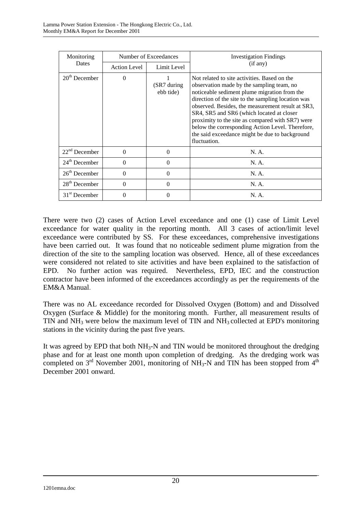| Monitoring                | Number of Exceedances |                            | <b>Investigation Findings</b>                                                                                                                                                                                                                                                                                                                                                                                                                                               |
|---------------------------|-----------------------|----------------------------|-----------------------------------------------------------------------------------------------------------------------------------------------------------------------------------------------------------------------------------------------------------------------------------------------------------------------------------------------------------------------------------------------------------------------------------------------------------------------------|
| Dates                     | <b>Action Level</b>   | Limit Level                | (if any)                                                                                                                                                                                                                                                                                                                                                                                                                                                                    |
| $20th$ December           | $\Omega$              | $(SR7$ during<br>ebb tide) | Not related to site activities. Based on the<br>observation made by the sampling team, no<br>noticeable sediment plume migration from the<br>direction of the site to the sampling location was<br>observed. Besides, the measurement result at SR3,<br>SR4, SR5 and SR6 (which located at closer<br>proximity to the site as compared with SR7) were<br>below the corresponding Action Level. Therefore,<br>the said exceedance might be due to background<br>fluctuation. |
| $22nd$ December           | $\Omega$              | $\Omega$                   | N. A.                                                                                                                                                                                                                                                                                                                                                                                                                                                                       |
| $24th$ December           | $\Omega$              | $\Omega$                   | N. A.                                                                                                                                                                                                                                                                                                                                                                                                                                                                       |
| $26th$ December           | $\Omega$              | 0                          | N. A.                                                                                                                                                                                                                                                                                                                                                                                                                                                                       |
| $28th$ December           | $\Omega$              | $\Omega$                   | N. A.                                                                                                                                                                                                                                                                                                                                                                                                                                                                       |
| 31 <sup>st</sup> December | $\Omega$              | 0                          | N. A.                                                                                                                                                                                                                                                                                                                                                                                                                                                                       |

There were two (2) cases of Action Level exceedance and one (1) case of Limit Level exceedance for water quality in the reporting month. All 3 cases of action/limit level exceedance were contributed by SS. For these exceedances, comprehensive investigations have been carried out. It was found that no noticeable sediment plume migration from the direction of the site to the sampling location was observed. Hence, all of these exceedances were considered not related to site activities and have been explained to the satisfaction of EPD. No further action was required. Nevertheless, EPD, IEC and the construction contractor have been informed of the exceedances accordingly as per the requirements of the EM&A Manual.

There was no AL exceedance recorded for Dissolved Oxygen (Bottom) and and Dissolved Oxygen (Surface & Middle) for the monitoring month. Further, all measurement results of TIN and  $NH_3$  were below the maximum level of TIN and  $NH_3$  collected at EPD's monitoring stations in the vicinity during the past five years.

It was agreed by EPD that both  $NH_3-N$  and TIN would be monitored throughout the dredging phase and for at least one month upon completion of dredging. As the dredging work was completed on  $3<sup>rd</sup>$  November 2001, monitoring of NH<sub>3</sub>-N and TIN has been stopped from  $4<sup>th</sup>$ December 2001 onward.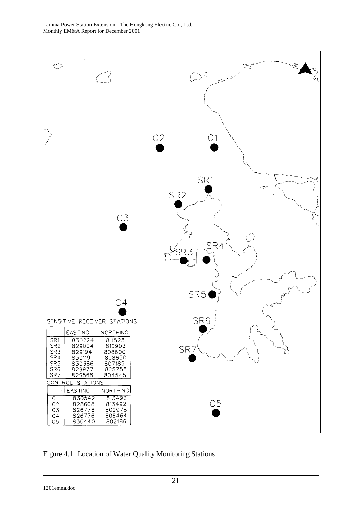

Figure 4.1 Location of Water Quality Monitoring Stations

1201emna.doc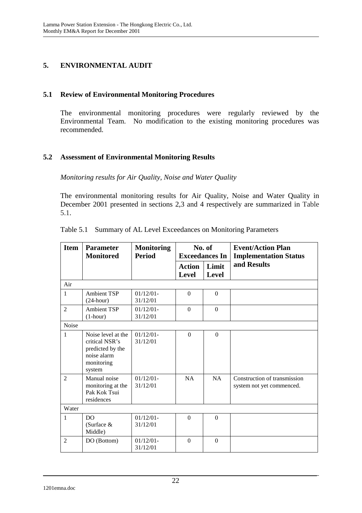# **5. ENVIRONMENTAL AUDIT**

## **5.1 Review of Environmental Monitoring Procedures**

The environmental monitoring procedures were regularly reviewed by the Environmental Team. No modification to the existing monitoring procedures was recommended.

# **5.2 Assessment of Environmental Monitoring Results**

*Monitoring results for Air Quality, Noise and Water Quality* 

The environmental monitoring results for Air Quality, Noise and Water Quality in December 2001 presented in sections 2,3 and 4 respectively are summarized in Table 5.1.

| <b>Item</b>    | <b>Parameter</b><br><b>Monitored</b>                                                            | <b>Monitoring</b><br><b>Period</b> | No. of<br><b>Exceedances In</b> |                | <b>Event/Action Plan</b><br><b>Implementation Status</b>  |
|----------------|-------------------------------------------------------------------------------------------------|------------------------------------|---------------------------------|----------------|-----------------------------------------------------------|
|                |                                                                                                 |                                    | <b>Action</b><br><b>Level</b>   | Limit<br>Level | and Results                                               |
| Air            |                                                                                                 |                                    |                                 |                |                                                           |
| $\mathbf{1}$   | <b>Ambient TSP</b><br>$(24$ -hour)                                                              | $01/12/01$ -<br>31/12/01           | $\Omega$                        | $\Omega$       |                                                           |
| $\overline{2}$ | <b>Ambient TSP</b><br>$(1-hour)$                                                                | $01/12/01 -$<br>31/12/01           | $\Omega$                        | $\overline{0}$ |                                                           |
| Noise          |                                                                                                 |                                    |                                 |                |                                                           |
| $\mathbf{1}$   | Noise level at the<br>critical NSR's<br>predicted by the<br>noise alarm<br>monitoring<br>system | $01/12/01$ -<br>31/12/01           | $\Omega$                        | $\Omega$       |                                                           |
| $\mathfrak{D}$ | Manual noise<br>monitoring at the<br>Pak Kok Tsui<br>residences                                 | $01/12/01$ -<br>31/12/01           | NA                              | NA             | Construction of transmission<br>system not yet commenced. |
| Water          |                                                                                                 |                                    |                                 |                |                                                           |
| 1              | DO.<br>(Surface &<br>Middle)                                                                    | $01/12/01-$<br>31/12/01            | $\Omega$                        | $\Omega$       |                                                           |
| $\mathfrak{D}$ | DO (Bottom)                                                                                     | $01/12/01$ -<br>31/12/01           | $\Omega$                        | $\Omega$       |                                                           |

|  |  |  |  | Table 5.1 Summary of AL Level Exceedances on Monitoring Parameters |
|--|--|--|--|--------------------------------------------------------------------|
|--|--|--|--|--------------------------------------------------------------------|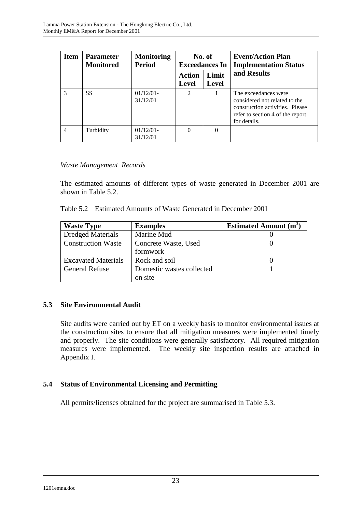| <b>Item</b>    | <b>Parameter</b><br><b>Monitored</b> | <b>Monitoring</b><br><b>Period</b> | No. of<br><b>Exceedances In</b> |                       | <b>Event/Action Plan</b><br><b>Implementation Status</b>                                                                                     |
|----------------|--------------------------------------|------------------------------------|---------------------------------|-----------------------|----------------------------------------------------------------------------------------------------------------------------------------------|
|                |                                      |                                    | Action<br><b>Level</b>          | Limit<br><b>Level</b> | and Results                                                                                                                                  |
| 3              | <b>SS</b>                            | 01/12/01<br>31/12/01               | 2                               |                       | The exceedances were<br>considered not related to the<br>construction activities. Please<br>refer to section 4 of the report<br>for details. |
| $\overline{4}$ | Turbidity                            | $01/12/01$ -<br>31/12/01           | 0                               | $\Omega$              |                                                                                                                                              |

## *Waste Management Records*

The estimated amounts of different types of waste generated in December 2001 are shown in Table 5.2.

| <b>Waste Type</b>          | <b>Examples</b>           | <b>Estimated Amount (m<sup>3</sup>)</b> |
|----------------------------|---------------------------|-----------------------------------------|
| <b>Dredged Materials</b>   | Marine Mud                |                                         |
| <b>Construction Waste</b>  | Concrete Waste, Used      |                                         |
|                            | formwork                  |                                         |
| <b>Excavated Materials</b> | Rock and soil             |                                         |
| <b>General Refuse</b>      | Domestic wastes collected |                                         |
|                            | on site                   |                                         |

# **5.3 Site Environmental Audit**

Site audits were carried out by ET on a weekly basis to monitor environmental issues at the construction sites to ensure that all mitigation measures were implemented timely and properly. The site conditions were generally satisfactory. All required mitigation measures were implemented. The weekly site inspection results are attached in Appendix I.

## **5.4 Status of Environmental Licensing and Permitting**

All permits/licenses obtained for the project are summarised in Table 5.3.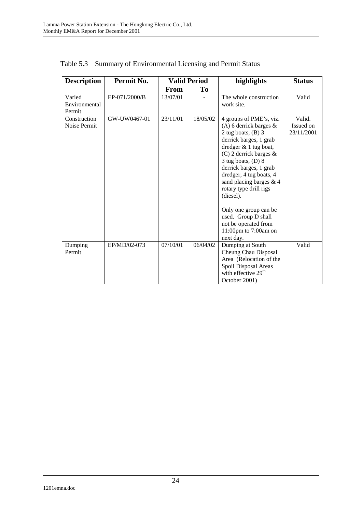| <b>Description</b>                | Permit No.    | <b>Valid Period</b> |          | highlights                                                                                                                                                                                                                                                                                                                                                                                                                   | <b>Status</b>                     |
|-----------------------------------|---------------|---------------------|----------|------------------------------------------------------------------------------------------------------------------------------------------------------------------------------------------------------------------------------------------------------------------------------------------------------------------------------------------------------------------------------------------------------------------------------|-----------------------------------|
|                                   |               | <b>From</b>         | To       |                                                                                                                                                                                                                                                                                                                                                                                                                              |                                   |
| Varied<br>Environmental<br>Permit | EP-071/2000/B | 13/07/01            |          | The whole construction<br>work site.                                                                                                                                                                                                                                                                                                                                                                                         | Valid                             |
| Construction<br>Noise Permit      | GW-UW0467-01  | 23/11/01            | 18/05/02 | 4 groups of PME's, viz.<br>(A) 6 derrick barges $\&$<br>2 tug boats, $(B)$ 3<br>derrick barges, 1 grab<br>dredger $& 1$ tug boat,<br>(C) 2 derrick barges $\&$<br>$3$ tug boats, (D) $8$<br>derrick barges, 1 grab<br>dredger, 4 tug boats, 4<br>sand placing barges & 4<br>rotary type drill rigs<br>(diesel).<br>Only one group can be<br>used. Group D shall<br>not be operated from<br>11:00pm to 7:00am on<br>next day. | Valid.<br>Issued on<br>23/11/2001 |
| Dumping<br>Permit                 | EP/MD/02-073  | 07/10/01            | 06/04/02 | Dumping at South<br>Cheung Chau Disposal<br>Area (Relocation of the<br>Spoil Disposal Areas<br>with effective 29 <sup>th</sup><br>October 2001)                                                                                                                                                                                                                                                                              | Valid                             |

Table 5.3 Summary of Environmental Licensing and Permit Status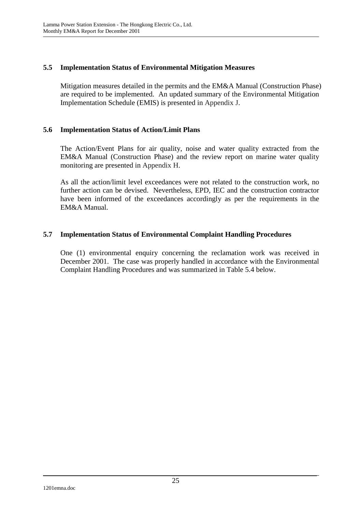# **5.5 Implementation Status of Environmental Mitigation Measures**

Mitigation measures detailed in the permits and the EM&A Manual (Construction Phase) are required to be implemented. An updated summary of the Environmental Mitigation Implementation Schedule (EMIS) is presented in Appendix J.

## **5.6 Implementation Status of Action/Limit Plans**

The Action/Event Plans for air quality, noise and water quality extracted from the EM&A Manual (Construction Phase) and the review report on marine water quality monitoring are presented in Appendix H.

As all the action/limit level exceedances were not related to the construction work, no further action can be devised. Nevertheless, EPD, IEC and the construction contractor have been informed of the exceedances accordingly as per the requirements in the EM&A Manual.

# **5.7 Implementation Status of Environmental Complaint Handling Procedures**

One (1) environmental enquiry concerning the reclamation work was received in December 2001. The case was properly handled in accordance with the Environmental Complaint Handling Procedures and was summarized in Table 5.4 below.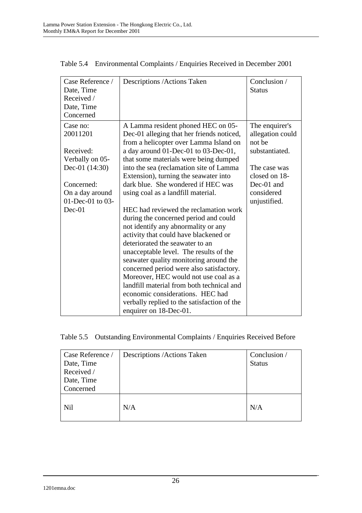| Case Reference /<br>Date, Time<br>Received /<br>Date, Time<br>Concerned | Descriptions / Actions Taken                                                                                                                                                                                                                                                                                                                                                                                                                                                                                                                                                                                     | Conclusion /<br><b>Status</b>                                  |
|-------------------------------------------------------------------------|------------------------------------------------------------------------------------------------------------------------------------------------------------------------------------------------------------------------------------------------------------------------------------------------------------------------------------------------------------------------------------------------------------------------------------------------------------------------------------------------------------------------------------------------------------------------------------------------------------------|----------------------------------------------------------------|
| Case no:<br>20011201<br>Received:<br>Verbally on 05-                    | A Lamma resident phoned HEC on 05-<br>Dec-01 alleging that her friends noticed,<br>from a helicopter over Lamma Island on<br>a day around 01-Dec-01 to 03-Dec-01,<br>that some materials were being dumped                                                                                                                                                                                                                                                                                                                                                                                                       | The enquirer's<br>allegation could<br>not be<br>substantiated. |
| Dec-01 $(14:30)$                                                        | into the sea (reclamation site of Lamma)<br>Extension), turning the seawater into                                                                                                                                                                                                                                                                                                                                                                                                                                                                                                                                | The case was<br>closed on 18-                                  |
| Concerned:<br>On a day around<br>01-Dec-01 to 03-<br>$Dec-01$           | dark blue. She wondered if HEC was<br>using coal as a landfill material.<br>HEC had reviewed the reclamation work<br>during the concerned period and could<br>not identify any abnormality or any<br>activity that could have blackened or<br>deteriorated the seawater to an<br>unacceptable level. The results of the<br>seawater quality monitoring around the<br>concerned period were also satisfactory.<br>Moreover, HEC would not use coal as a<br>landfill material from both technical and<br>economic considerations. HEC had<br>verbally replied to the satisfaction of the<br>enquirer on 18-Dec-01. | Dec-01 and<br>considered<br>unjustified.                       |

Table 5.4 Environmental Complaints / Enquiries Received in December 2001

## Table 5.5 Outstanding Environmental Complaints / Enquiries Received Before

| Case Reference /<br>Date, Time<br>Received /<br>Date, Time<br>Concerned | Descriptions / Actions Taken | Conclusion /<br><b>Status</b> |
|-------------------------------------------------------------------------|------------------------------|-------------------------------|
| Nil                                                                     | N/A                          | N/A                           |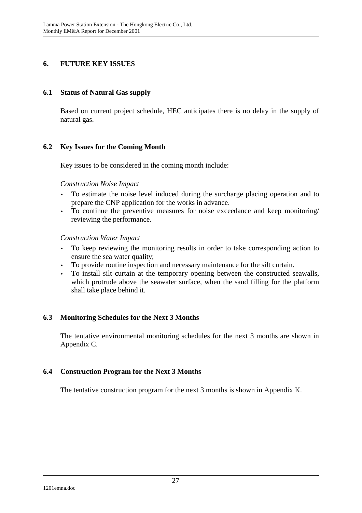# **6. FUTURE KEY ISSUES**

#### **6.1 Status of Natural Gas supply**

Based on current project schedule, HEC anticipates there is no delay in the supply of natural gas.

## **6.2 Key Issues for the Coming Month**

Key issues to be considered in the coming month include:

#### *Construction Noise Impact*

- To estimate the noise level induced during the surcharge placing operation and to prepare the CNP application for the works in advance.
- To continue the preventive measures for noise exceedance and keep monitoring/ reviewing the performance.

#### *Construction Water Impact*

- To keep reviewing the monitoring results in order to take corresponding action to ensure the sea water quality;
- To provide routine inspection and necessary maintenance for the silt curtain.
- To install silt curtain at the temporary opening between the constructed seawalls, which protrude above the seawater surface, when the sand filling for the platform shall take place behind it.

## **6.3 Monitoring Schedules for the Next 3 Months**

The tentative environmental monitoring schedules for the next 3 months are shown in Appendix C.

# **6.4 Construction Program for the Next 3 Months**

The tentative construction program for the next 3 months is shown in Appendix K.